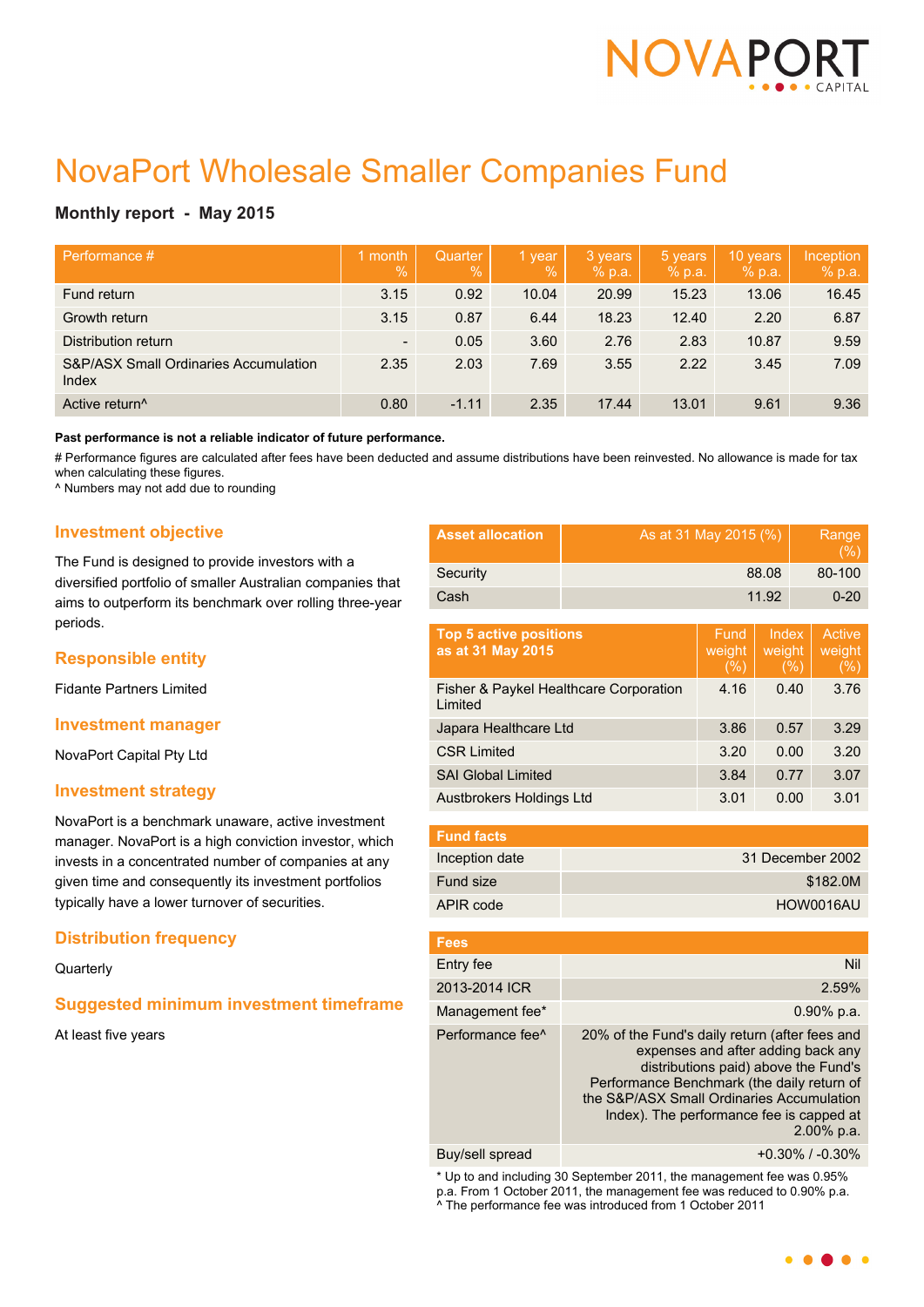

# NovaPort Wholesale Smaller Companies Fund

# **Monthly report - May 2015**

| Performance #                                  | 1 month<br>$\sqrt{2}$    | Quarter<br>$\%$ | 1 year<br>$\%$ | 3 years<br>% p.a. | 5 years<br>% p.a. | 10 years<br>% p.a. | Inception<br>% p.a. |
|------------------------------------------------|--------------------------|-----------------|----------------|-------------------|-------------------|--------------------|---------------------|
| Fund return                                    | 3.15                     | 0.92            | 10.04          | 20.99             | 15.23             | 13.06              | 16.45               |
| Growth return                                  | 3.15                     | 0.87            | 6.44           | 18.23             | 12.40             | 2.20               | 6.87                |
| Distribution return                            | $\overline{\phantom{a}}$ | 0.05            | 3.60           | 2.76              | 2.83              | 10.87              | 9.59                |
| S&P/ASX Small Ordinaries Accumulation<br>Index | 2.35                     | 2.03            | 7.69           | 3.55              | 2.22              | 3.45               | 7.09                |
| Active return <sup>^</sup>                     | 0.80                     | $-1.11$         | 2.35           | 17.44             | 13.01             | 9.61               | 9.36                |

**Past performance is not a reliable indicator of future performance.**

# Performance figures are calculated after fees have been deducted and assume distributions have been reinvested. No allowance is made for tax when calculating these figures.

^ Numbers may not add due to rounding

## **Investment objective**

The Fund is designed to provide investors with a diversified portfolio of smaller Australian companies that aims to outperform its benchmark over rolling three-year periods.

# **Responsible entity**

Fidante Partners Limited

#### **Investment manager**

NovaPort Capital Pty Ltd

#### **Investment strategy**

NovaPort is a benchmark unaware, active investment manager. NovaPort is a high conviction investor, which invests in a concentrated number of companies at any given time and consequently its investment portfolios typically have a lower turnover of securities.

# **Distribution frequency**

**Quarterly** 

# **Suggested minimum investment timeframe**

At least five years

| <b>Asset allocation</b> | As at 31 May 2015 (%) | Range<br>(% ) |
|-------------------------|-----------------------|---------------|
| Security                | 88.08                 | 80-100        |
| Cash                    | 11.92                 | $0 - 20$      |

| <b>Top 5 active positions</b><br>as at 31 May 2015 | Fund<br>weight<br>(% ) | Index<br>weight<br>(%) | Active<br>weight<br>(%) |
|----------------------------------------------------|------------------------|------------------------|-------------------------|
| Fisher & Paykel Healthcare Corporation<br>Limited  | 4.16                   | 0.40                   | 3.76                    |
| Japara Healthcare Ltd                              | 3.86                   | 0.57                   | 3.29                    |
| <b>CSR Limited</b>                                 | 3.20                   | 0.00                   | 3.20                    |
| <b>SAI Global Limited</b>                          | 3.84                   | 0.77                   | 3.07                    |
| Austbrokers Holdings Ltd                           | 3.01                   | 0.00                   | 3.01                    |

| <b>Fund facts</b> |                  |
|-------------------|------------------|
| Inception date    | 31 December 2002 |
| Fund size         | \$182.0M         |
| APIR code         | HOW0016AU        |

| <b>Fees</b>                  |                                                                                                                                                                                                                                                                                   |
|------------------------------|-----------------------------------------------------------------------------------------------------------------------------------------------------------------------------------------------------------------------------------------------------------------------------------|
| Entry fee                    | Nil                                                                                                                                                                                                                                                                               |
| 2013-2014 ICR                | 2.59%                                                                                                                                                                                                                                                                             |
| Management fee*              | $0.90\%$ p.a.                                                                                                                                                                                                                                                                     |
| Performance fee <sup>^</sup> | 20% of the Fund's daily return (after fees and<br>expenses and after adding back any<br>distributions paid) above the Fund's<br>Performance Benchmark (the daily return of<br>the S&P/ASX Small Ordinaries Accumulation<br>Index). The performance fee is capped at<br>2.00% p.a. |
|                              |                                                                                                                                                                                                                                                                                   |

Buy/sell spread  $+0.30\%$  / -0.30%

\* Up to and including 30 September 2011, the management fee was 0.95% p.a. From 1 October 2011, the management fee was reduced to 0.90% p.a. ^ The performance fee was introduced from 1 October 2011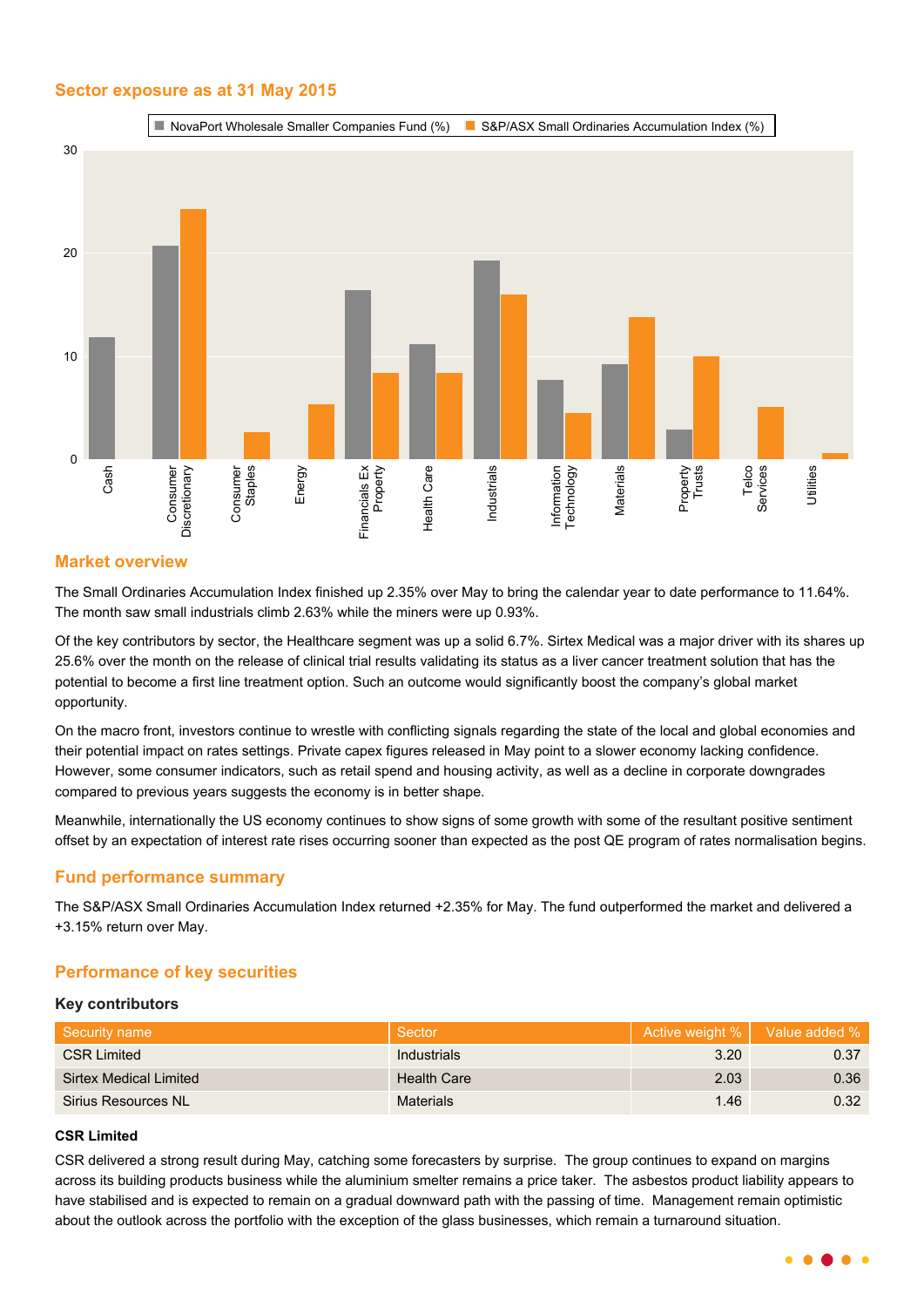## **Sector exposure as at 31 May 2015**



## **Market overview**

The Small Ordinaries Accumulation Index finished up 2.35% over May to bring the calendar year to date performance to 11.64%. The month saw small industrials climb 2.63% while the miners were up 0.93%.

Of the key contributors by sector, the Healthcare segment was up a solid 6.7%. Sirtex Medical was a major driver with its shares up 25.6% over the month on the release of clinical trial results validating its status as a liver cancer treatment solution that has the potential to become a first line treatment option. Such an outcome would significantly boost the company's global market opportunity.

On the macro front, investors continue to wrestle with conflicting signals regarding the state of the local and global economies and their potential impact on rates settings. Private capex figures released in May point to a slower economy lacking confidence. However, some consumer indicators, such as retail spend and housing activity, as well as a decline in corporate downgrades compared to previous years suggests the economy is in better shape.

Meanwhile, internationally the US economy continues to show signs of some growth with some of the resultant positive sentiment offset by an expectation of interest rate rises occurring sooner than expected as the post QE program of rates normalisation begins.

# **Fund performance summary**

The S&P/ASX Small Ordinaries Accumulation Index returned +2.35% for May. The fund outperformed the market and delivered a +3.15% return over May.

# **Performance of key securities**

#### **Key contributors**

| Security name                 | Sector             | Active weight %   Value added % |      |
|-------------------------------|--------------------|---------------------------------|------|
| <b>CSR Limited</b>            | Industrials        | 3.20                            | 0.37 |
| <b>Sirtex Medical Limited</b> | <b>Health Care</b> | 2.03                            | 0.36 |
| Sirius Resources NL           | <b>Materials</b>   | 1.46                            | 0.32 |

#### **CSR Limited**

CSR delivered a strong result during May, catching some forecasters by surprise. The group continues to expand on margins across its building products business while the aluminium smelter remains a price taker. The asbestos product liability appears to have stabilised and is expected to remain on a gradual downward path with the passing of time. Management remain optimistic about the outlook across the portfolio with the exception of the glass businesses, which remain a turnaround situation.